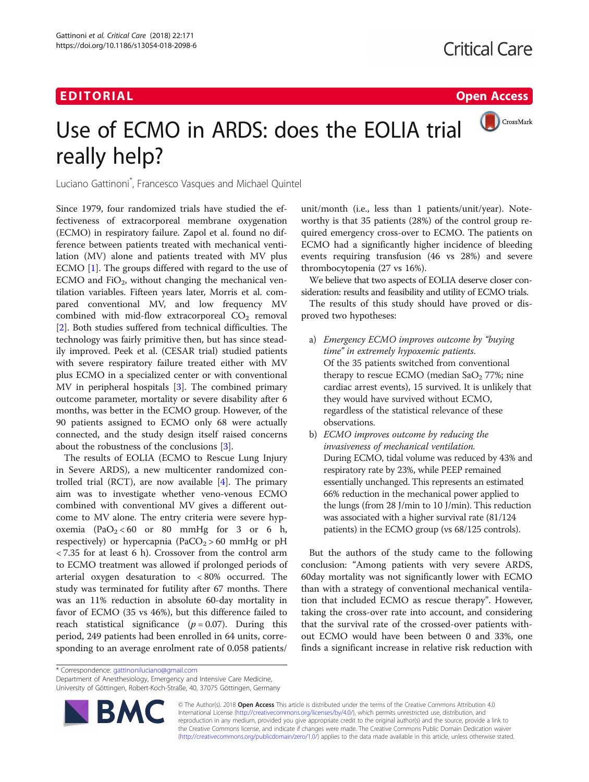### EDITORIAL AND INTERNATIONAL CONTRACT CONTRACT OF THE CONTRACT OF THE CONTRACT OF THE CONTRACT OF THE CONTRACT O

# CrossMark

## Use of ECMO in ARDS: does the EOLIA trial really help?

Luciano Gattinoni\* , Francesco Vasques and Michael Quintel

Since 1979, four randomized trials have studied the effectiveness of extracorporeal membrane oxygenation (ECMO) in respiratory failure. Zapol et al. found no difference between patients treated with mechanical ventilation (MV) alone and patients treated with MV plus ECMO [[1\]](#page-1-0). The groups differed with regard to the use of ECMO and  $FiO<sub>2</sub>$ , without changing the mechanical ventilation variables. Fifteen years later, Morris et al. compared conventional MV, and low frequency MV combined with mid-flow extracorporeal  $CO<sub>2</sub>$  removal [[2\]](#page-1-0). Both studies suffered from technical difficulties. The technology was fairly primitive then, but has since steadily improved. Peek et al. (CESAR trial) studied patients with severe respiratory failure treated either with MV plus ECMO in a specialized center or with conventional MV in peripheral hospitals [\[3](#page-1-0)]. The combined primary outcome parameter, mortality or severe disability after 6 months, was better in the ECMO group. However, of the 90 patients assigned to ECMO only 68 were actually connected, and the study design itself raised concerns about the robustness of the conclusions [[3\]](#page-1-0).

The results of EOLIA (ECMO to Rescue Lung Injury in Severe ARDS), a new multicenter randomized controlled trial (RCT), are now available  $[4]$  $[4]$ . The primary aim was to investigate whether veno-venous ECMO combined with conventional MV gives a different outcome to MV alone. The entry criteria were severe hypoxemia  $(PaO<sub>2</sub> < 60$  or 80 mmHg for 3 or 6 h, respectively) or hypercapnia ( $PaCO<sub>2</sub> > 60$  mmHg or pH < 7.35 for at least 6 h). Crossover from the control arm to ECMO treatment was allowed if prolonged periods of arterial oxygen desaturation to < 80% occurred. The study was terminated for futility after 67 months. There was an 11% reduction in absolute 60-day mortality in favor of ECMO (35 vs 46%), but this difference failed to reach statistical significance  $(p = 0.07)$ . During this period, 249 patients had been enrolled in 64 units, corresponding to an average enrolment rate of 0.058 patients/

unit/month (i.e., less than 1 patients/unit/year). Noteworthy is that 35 patients (28%) of the control group required emergency cross-over to ECMO. The patients on ECMO had a significantly higher incidence of bleeding events requiring transfusion (46 vs 28%) and severe thrombocytopenia (27 vs 16%).

We believe that two aspects of EOLIA deserve closer consideration: results and feasibility and utility of ECMO trials.

The results of this study should have proved or disproved two hypotheses:

- a) Emergency ECMO improves outcome by "buying time" in extremely hypoxemic patients. Of the 35 patients switched from conventional therapy to rescue ECMO (median  $SaO<sub>2</sub>$  77%; nine cardiac arrest events), 15 survived. It is unlikely that they would have survived without ECMO, regardless of the statistical relevance of these observations.
- b) ECMO improves outcome by reducing the invasiveness of mechanical ventilation. During ECMO, tidal volume was reduced by 43% and respiratory rate by 23%, while PEEP remained essentially unchanged. This represents an estimated 66% reduction in the mechanical power applied to the lungs (from 28 J/min to 10 J/min). This reduction was associated with a higher survival rate (81/124 patients) in the ECMO group (vs 68/125 controls).

But the authors of the study came to the following conclusion: "Among patients with very severe ARDS, 60day mortality was not significantly lower with ECMO than with a strategy of conventional mechanical ventilation that included ECMO as rescue therapy". However, taking the cross-over rate into account, and considering that the survival rate of the crossed-over patients without ECMO would have been between 0 and 33%, one finds a significant increase in relative risk reduction with

Department of Anesthesiology, Emergency and Intensive Care Medicine, University of Göttingen, Robert-Koch-Straße, 40, 37075 Göttingen, Germany



© The Author(s). 2018 Open Access This article is distributed under the terms of the Creative Commons Attribution 4.0 International License [\(http://creativecommons.org/licenses/by/4.0/](http://creativecommons.org/licenses/by/4.0/)), which permits unrestricted use, distribution, and reproduction in any medium, provided you give appropriate credit to the original author(s) and the source, provide a link to the Creative Commons license, and indicate if changes were made. The Creative Commons Public Domain Dedication waiver [\(http://creativecommons.org/publicdomain/zero/1.0/](http://creativecommons.org/publicdomain/zero/1.0/)) applies to the data made available in this article, unless otherwise stated.

<sup>\*</sup> Correspondence: [gattinoniluciano@gmail.com](mailto:gattinoniluciano@gmail.com)